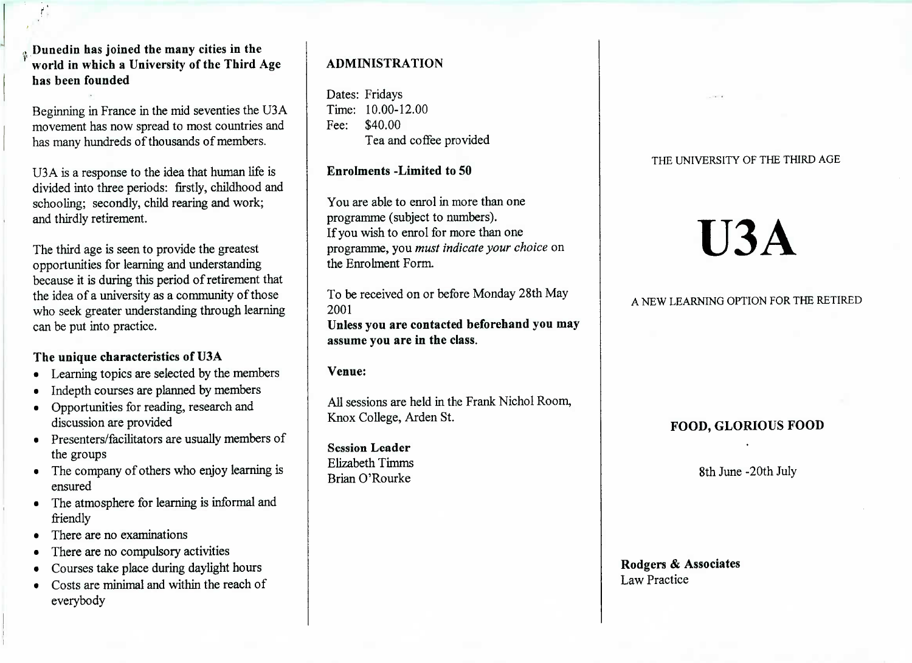Dunedin **has joined the many cities in the world in which a University of the Third Agehas been founded**

Beginning in France in the mid seventies the USA movement has now spread to most countries andhas many hundreds of thousands of members.

USA is a response to the idea that human life is divided into three periods: firstly, childhood andschooling; secondly, child rearing and work;and thirdly retirement.

The third age is seen to provide the greatest opportunities for learning and understanding because it is during this period of retirement thatthe idea of a university as a community of those who seek greater understanding through learningcan be put into practice.

#### **The unique characteristics of U3A**

- Learning topics are selected by the members
- Indepth courses are planned by members
- Opportunities for reading, research anddiscussion are provided
- Presenters/facilitators are usually members ofthe groups
- The company of others who enjoy learning isensured
- The atmosphere for learning is informal andfriendly
- There are no examinations
- There are no compulsory activities
- Courses take place during daylight hours
- Costs are minimal and within the reach ofeverybody

## **ADMINISTRATION**

Dates: Fridays Time: 10.00-12.00Fee: \$40.00I'ea and coffee provided

#### **Enrolments -Limited to 50**

You are able to enrol in more than oneprogramme (subject to numbers). If you wish to enrol for more than one programme, you *must indicate your choice* onthe Enrolment Form.

To be received on or before Monday 28th May2001 **Unless you are contacted beforehand you mayassume you are in the class.**

**Venue:**

All sessions are held in the Frank Nichol Room,Knox College, Arden St.

**Session Leader** Elizabeth TimmsBrian O'Rourke

#### THE UNIVERSITY OF THE THIRD AGE

# **U3A**

### A NEW LEARNING OPTION FOR THE RETIRED

#### **FOOD, GLORIOUS FOOD**

8th June -20th July

#### **Rodgers & Associates**Law Practice